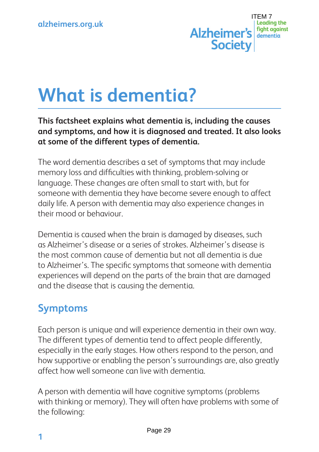

# **What is dementia?**

#### **This factsheet explains what dementia is, including the causes and symptoms, and how it is diagnosed and treated. It also looks at some of the different types of dementia.**

The word dementia describes a set of symptoms that may include memory loss and difficulties with thinking, problem-solving or language. These changes are often small to start with, but for someone with dementia they have become severe enough to affect daily life. A person with dementia may also experience changes in their mood or behaviour.

Dementia is caused when the brain is damaged by diseases, such as Alzheimer's disease or a series of strokes. Alzheimer's disease is the most common cause of dementia but not all dementia is due to Alzheimer's. The specific symptoms that someone with dementia experiences will depend on the parts of the brain that are damaged and the disease that is causing the dementia.

# **Symptoms**

Each person is unique and will experience dementia in their own way. The different types of dementia tend to affect people differently, especially in the early stages. How others respond to the person, and how supportive or enabling the person's surroundings are, also greatly affect how well someone can live with dementia.

A person with dementia will have cognitive symptoms (problems with thinking or memory). They will often have problems with some of the following: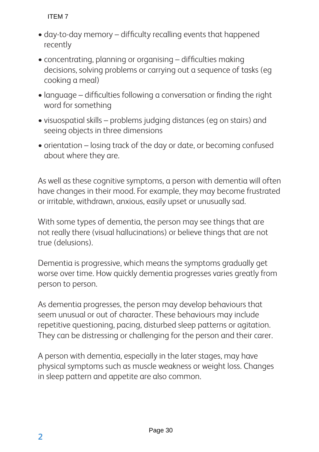- day-to-day memory difficulty recalling events that happened recently
- concentrating, planning or organising difficulties making decisions, solving problems or carrying out a sequence of tasks (eg cooking a meal)
- language difficulties following a conversation or finding the right word for something
- visuospatial skills problems judging distances (eg on stairs) and seeing objects in three dimensions
- orientation losing track of the day or date, or becoming confused about where they are.

As well as these cognitive symptoms, a person with dementia will often have changes in their mood. For example, they may become frustrated or irritable, withdrawn, anxious, easily upset or unusually sad.

With some types of dementia, the person may see things that are not really there (visual hallucinations) or believe things that are not true (delusions).

Dementia is progressive, which means the symptoms gradually get worse over time. How quickly dementia progresses varies greatly from person to person.

As dementia progresses, the person may develop behaviours that seem unusual or out of character. These behaviours may include repetitive questioning, pacing, disturbed sleep patterns or agitation. They can be distressing or challenging for the person and their carer.

A person with dementia, especially in the later stages, may have physical symptoms such as muscle weakness or weight loss. Changes in sleep pattern and appetite are also common.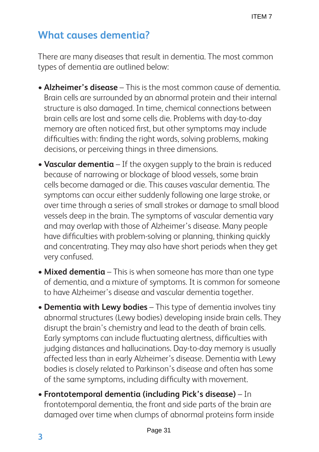# **What causes dementia?**

There are many diseases that result in dementia. The most common types of dementia are outlined below:

- **Alzheimer's disease** This is the most common cause of dementia. Brain cells are surrounded by an abnormal protein and their internal structure is also damaged. In time, chemical connections between brain cells are lost and some cells die. Problems with day-to-day memory are often noticed first, but other symptoms may include difficulties with: finding the right words, solving problems, making decisions, or perceiving things in three dimensions.
- **Vascular dementia** If the oxygen supply to the brain is reduced because of narrowing or blockage of blood vessels, some brain cells become damaged or die. This causes vascular dementia. The symptoms can occur either suddenly following one large stroke, or over time through a series of small strokes or damage to small blood vessels deep in the brain. The symptoms of vascular dementia vary and may overlap with those of Alzheimer's disease. Many people have difficulties with problem-solving or planning, thinking quickly and concentrating. They may also have short periods when they get very confused.
- **Mixed dementia** This is when someone has more than one type of dementia, and a mixture of symptoms. It is common for someone to have Alzheimer's disease and vascular dementia together.
- **Dementia with Lewy bodies** This type of dementia involves tiny abnormal structures (Lewy bodies) developing inside brain cells. They disrupt the brain's chemistry and lead to the death of brain cells. Early symptoms can include fluctuating alertness, difficulties with judging distances and hallucinations. Day-to-day memory is usually affected less than in early Alzheimer's disease. Dementia with Lewy bodies is closely related to Parkinson's disease and often has some of the same symptoms, including difficulty with movement.
- **Frontotemporal dementia (including Pick's disease)**  In frontotemporal dementia, the front and side parts of the brain are damaged over time when clumps of abnormal proteins form inside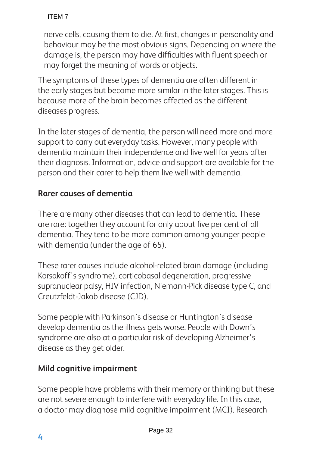nerve cells, causing them to die. At first, changes in personality and behaviour may be the most obvious signs. Depending on where the damage is, the person may have difficulties with fluent speech or may forget the meaning of words or objects.

The symptoms of these types of dementia are often different in the early stages but become more similar in the later stages. This is because more of the brain becomes affected as the different diseases progress.

In the later stages of dementia, the person will need more and more support to carry out everyday tasks. However, many people with dementia maintain their independence and live well for years after their diagnosis. Information, advice and support are available for the person and their carer to help them live well with dementia.

#### **Rarer causes of dementia**

There are many other diseases that can lead to dementia. These are rare: together they account for only about five per cent of all dementia. They tend to be more common among younger people with dementia (under the age of 65).

These rarer causes include alcohol-related brain damage (including Korsakoff's syndrome), corticobasal degeneration, progressive supranuclear palsy, HIV infection, Niemann-Pick disease type C, and Creutzfeldt-Jakob disease (CJD).

Some people with Parkinson's disease or Huntington's disease develop dementia as the illness gets worse. People with Down's syndrome are also at a particular risk of developing Alzheimer's disease as they get older.

#### **Mild cognitive impairment**

Some people have problems with their memory or thinking but these are not severe enough to interfere with everyday life. In this case, a doctor may diagnose mild cognitive impairment (MCI). Research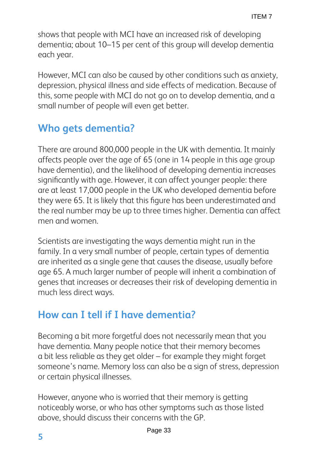shows that people with MCI have an increased risk of developing dementia; about 10–15 per cent of this group will develop dementia each year.

However, MCI can also be caused by other conditions such as anxiety, depression, physical illness and side effects of medication. Because of this, some people with MCI do not go on to develop dementia, and a small number of people will even get better.

# **Who gets dementia?**

There are around 800,000 people in the UK with dementia. It mainly affects people over the age of 65 (one in 14 people in this age group have dementia), and the likelihood of developing dementia increases significantly with age. However, it can affect younger people: there are at least 17,000 people in the UK who developed dementia before they were 65. It is likely that this figure has been underestimated and the real number may be up to three times higher. Dementia can affect men and women.

Scientists are investigating the ways dementia might run in the family. In a very small number of people, certain types of dementia are inherited as a single gene that causes the disease, usually before age 65. A much larger number of people will inherit a combination of genes that increases or decreases their risk of developing dementia in much less direct ways.

# **How can I tell if I have dementia?**

Becoming a bit more forgetful does not necessarily mean that you have dementia. Many people notice that their memory becomes a bit less reliable as they get older – for example they might forget someone's name. Memory loss can also be a sign of stress, depression or certain physical illnesses.

However, anyone who is worried that their memory is getting noticeably worse, or who has other symptoms such as those listed above, should discuss their concerns with the GP.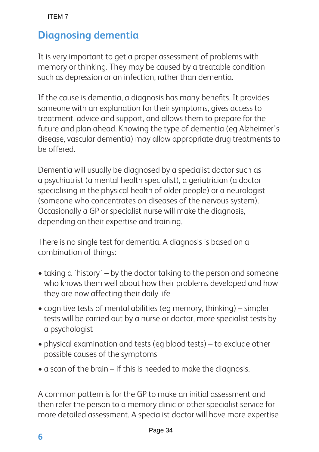# **Diagnosing dementia**

It is very important to get a proper assessment of problems with memory or thinking. They may be caused by a treatable condition such as depression or an infection, rather than dementia.

If the cause is dementia, a diagnosis has many benefits. It provides someone with an explanation for their symptoms, gives access to treatment, advice and support, and allows them to prepare for the future and plan ahead. Knowing the type of dementia (eg Alzheimer's disease, vascular dementia) may allow appropriate drug treatments to be offered.

Dementia will usually be diagnosed by a specialist doctor such as a psychiatrist (a mental health specialist), a geriatrician (a doctor specialising in the physical health of older people) or a neurologist (someone who concentrates on diseases of the nervous system). Occasionally a GP or specialist nurse will make the diagnosis, depending on their expertise and training.

There is no single test for dementia. A diagnosis is based on a combination of things:

- taking a 'history' by the doctor talking to the person and someone who knows them well about how their problems developed and how they are now affecting their daily life
- cognitive tests of mental abilities (eg memory, thinking) simpler tests will be carried out by a nurse or doctor, more specialist tests by a psychologist
- physical examination and tests (eg blood tests) to exclude other possible causes of the symptoms
- a scan of the brain if this is needed to make the diagnosis.

A common pattern is for the GP to make an initial assessment and then refer the person to a memory clinic or other specialist service for more detailed assessment. A specialist doctor will have more expertise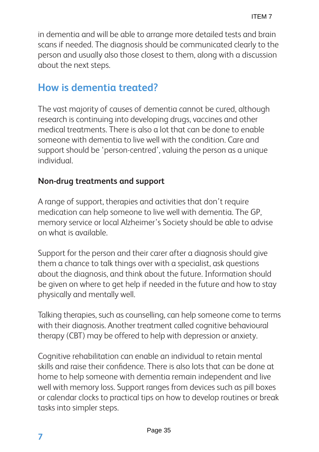in dementia and will be able to arrange more detailed tests and brain scans if needed. The diagnosis should be communicated clearly to the person and usually also those closest to them, along with a discussion about the next steps.

## **How is dementia treated?**

The vast majority of causes of dementia cannot be cured, although research is continuing into developing drugs, vaccines and other medical treatments. There is also a lot that can be done to enable someone with dementia to live well with the condition. Care and support should be 'person-centred', valuing the person as a unique individual.

#### **Non-drug treatments and support**

A range of support, therapies and activities that don't require medication can help someone to live well with dementia. The GP, memory service or local Alzheimer's Society should be able to advise on what is available.

Support for the person and their carer after a diagnosis should give them a chance to talk things over with a specialist, ask questions about the diagnosis, and think about the future. Information should be given on where to get help if needed in the future and how to stay physically and mentally well.

Talking therapies, such as counselling, can help someone come to terms with their diagnosis. Another treatment called cognitive behavioural therapy (CBT) may be offered to help with depression or anxiety.

Cognitive rehabilitation can enable an individual to retain mental skills and raise their confidence. There is also lots that can be done at home to help someone with dementia remain independent and live well with memory loss. Support ranges from devices such as pill boxes or calendar clocks to practical tips on how to develop routines or break tasks into simpler steps.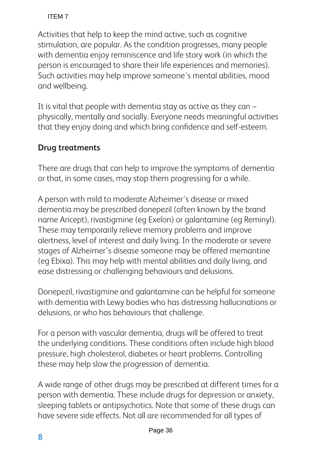Activities that help to keep the mind active, such as cognitive stimulation, are popular. As the condition progresses, many people with dementia enjoy reminiscence and life story work (in which the person is encouraged to share their life experiences and memories). Such activities may help improve someone's mental abilities, mood and wellbeing.

It is vital that people with dementia stay as active as they can  $$ physically, mentally and socially. Everyone needs meaningful activities that they enjoy doing and which bring confidence and self-esteem.

### **Drug treatments**

There are drugs that can help to improve the symptoms of dementia or that, in some cases, may stop them progressing for a while.

A person with mild to moderate Alzheimer's disease or mixed dementia may be prescribed donepezil (often known by the brand name Aricept), rivastigmine (eg Exelon) or galantamine (eg Reminyl). These may temporarily relieve memory problems and improve alertness, level of interest and daily living. In the moderate or severe stages of Alzheimer's disease someone may be offered memantine (eg Ebixa). This may help with mental abilities and daily living, and ease distressing or challenging behaviours and delusions.

Donepezil, rivastigmine and galantamine can be helpful for someone with dementia with Lewy bodies who has distressing hallucinations or delusions, or who has behaviours that challenge.

For a person with vascular dementia, drugs will be offered to treat the underlying conditions. These conditions often include high blood pressure, high cholesterol, diabetes or heart problems. Controlling these may help slow the progression of dementia.

A wide range of other drugs may be prescribed at different times for a person with dementia. These include drugs for depression or anxiety, sleeping tablets or antipsychotics. Note that some of these drugs can have severe side effects. Not all are recommended for all types of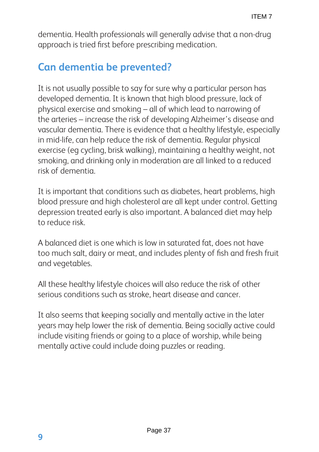dementia. Health professionals will generally advise that a non-drug approach is tried first before prescribing medication.

## **Can dementia be prevented?**

It is not usually possible to say for sure why a particular person has developed dementia. It is known that high blood pressure, lack of physical exercise and smoking – all of which lead to narrowing of the arteries – increase the risk of developing Alzheimer's disease and vascular dementia. There is evidence that a healthy lifestyle, especially in mid-life, can help reduce the risk of dementia. Regular physical exercise (eg cycling, brisk walking), maintaining a healthy weight, not smoking, and drinking only in moderation are all linked to a reduced risk of dementia.

It is important that conditions such as diabetes, heart problems, high blood pressure and high cholesterol are all kept under control. Getting depression treated early is also important. A balanced diet may help to reduce risk.

A balanced diet is one which is low in saturated fat, does not have too much salt, dairy or meat, and includes plenty of fish and fresh fruit and vegetables.

All these healthy lifestyle choices will also reduce the risk of other serious conditions such as stroke, heart disease and cancer.

It also seems that keeping socially and mentally active in the later years may help lower the risk of dementia. Being socially active could include visiting friends or going to a place of worship, while being mentally active could include doing puzzles or reading.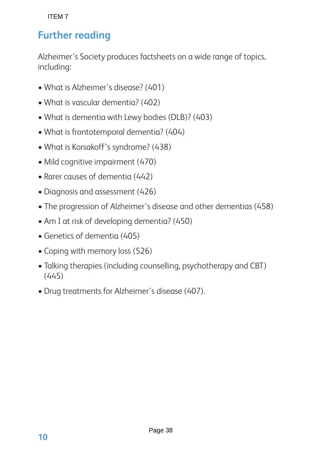## **Further reading**

Alzheimer's Society produces factsheets on a wide range of topics, including:

- What is Alzheimer's disease? (401)
- What is vascular dementia? (402)
- What is dementia with Lewy bodies (DLB)? (403)
- What is frontotemporal dementia? (404)
- What is Korsakoff's syndrome? (438)
- Mild cognitive impairment (470)
- Rarer causes of dementia (442)
- Diagnosis and assessment (426)
- The progression of Alzheimer's disease and other dementias (458)
- Am I at risk of developing dementia? (450)
- Genetics of dementia (405)
- Coping with memory loss (526)
- Talking therapies (including counselling, psychotherapy and CBT) (445)
- Drug treatments for Alzheimer's disease (407).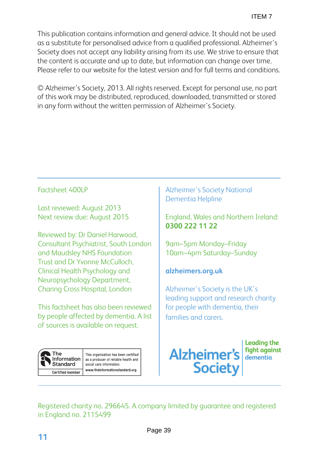This publication contains information and general advice. It should not be used as a substitute for personalised advice from a qualified professional. Alzheimer's Society does not accept any liability arising from its use. We strive to ensure that the content is accurate and up to date, but information can change over time. Please refer to our website for the latest version and for full terms and conditions.

© Alzheimer's Society, 2013. All rights reserved. Except for personal use, no part of this work may be distributed, reproduced, downloaded, transmitted or stored in any form without the written permission of Alzheimer's Society.

#### Factsheet 400LP

Last reviewed: August 2013 Next review due: August 2015

Reviewed by: Dr Daniel Harwood, Consultant Psychiatrist, South London and Maudsley NHS Foundation Trust and Dr Yvonne McCulloch, Clinical Health Psychology and Neuropsychology Department, Charing Cross Hospital, London

This factsheet has also been reviewed by people affected by dementia. A list of sources is available on request.

**The** Information **Standard** Certified member

This organisation has been certified as a producer of reliable health and social care information. www.theinformationstandard.org

Alzheimer's Society National Dementia Helpline

England, Wales and Northern Ireland: **0300 222 11 22**

9am–5pm Monday–Friday 10am–4pm Saturday–Sunday

#### **alzheimers.org.uk**

Alzheimer's Society is the UK's leading support and research charity for people with dementia, their families and carers.



**Leading the fight against** dementia

Registered charity no. 296645. A company limited by guarantee and registered in England no. 2115499